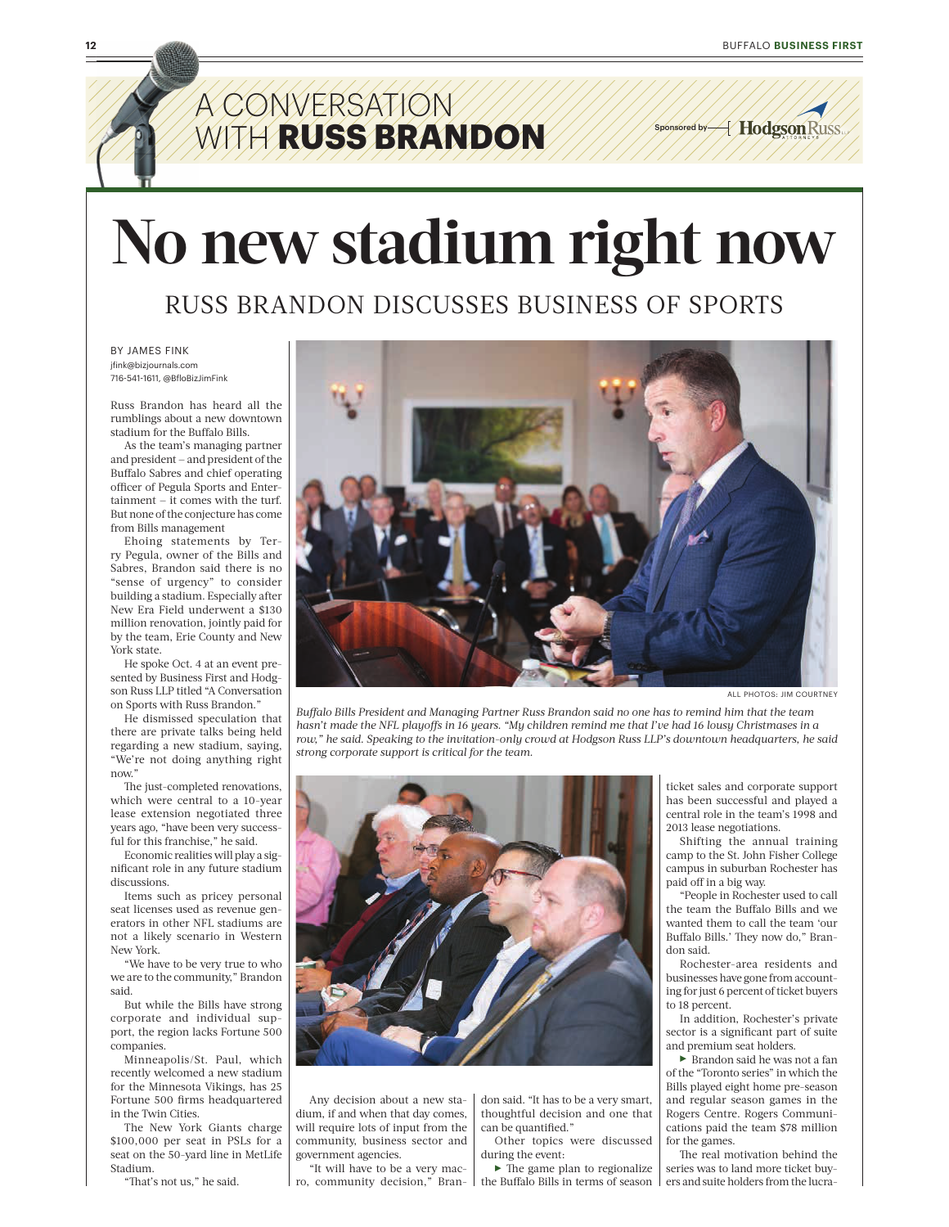## A CONVERSATION A **WITH RUSS BRANDON**

Sponsored by  $\cancel{\mathcal{A}}$  Hodgson Russ

# **No new stadium right now**

#### RUSS BRANDON DISCUSSES BUSINESS OF SPORTS

BY JAMES FINK jfink@bizjournals.com 716-541-1611, @BfloBizJimFink

Russ Brandon has heard all the rumblings about a new downtown stadium for the Buffalo Bills.

As the team's managing partner and president — and president of the Buffalo Sabres and chief operating officer of Pegula Sports and Entertainment — it comes with the turf. But none of the conjecture has come from Bills management

Ehoing statements by Terry Pegula, owner of the Bills and Sabres, Brandon said there is no "sense of urgency" to consider building a stadium. Especially after New Era Field underwent a \$130 million renovation, jointly paid for by the team, Erie County and New York state.

He spoke Oct. 4 at an event presented by Business First and Hodgson Russ LLP titled "A Conversation on Sports with Russ Brandon."

He dismissed speculation that there are private talks being held regarding a new stadium, saying, "We're not doing anything right now."

The just-completed renovations, which were central to a 10-year lease extension negotiated three years ago, "have been very successful for this franchise," he said.

Economic realities will play a significant role in any future stadium discussions.

Items such as pricey personal seat licenses used as revenue generators in other NFL stadiums are not a likely scenario in Western New York.

"We have to be very true to who we are to the community," Brandon said.

But while the Bills have strong corporate and individual support, the region lacks Fortune 500 companies.

Minneapolis/St. Paul, which recently welcomed a new stadium for the Minnesota Vikings, has 25 Fortune 500 firms headquartered in the Twin Cities.

The New York Giants charge \$100,000 per seat in PSLs for a seat on the 50-yard line in MetLife Stadium.

"That's not us," he said.



ALL PHOTOS: JIM COURTNEY

*Buffalo Bills President and Managing Partner Russ Brandon said no one has to remind him that the team hasn't made the NFL playoffs in 16 years. "My children remind me that I've had 16 lousy Christmases in a row," he said. Speaking to the invitation-only crowd at Hodgson Russ LLP's downtown headquarters, he said strong corporate support is critical for the team.* 



Any decision about a new stadium, if and when that day comes, will require lots of input from the community, business sector and government agencies.

"It will have to be a very macro, community decision," Bran- I the Buffalo Bills in terms of season

don said. "It has to be a very smart, thoughtful decision and one that can be quantified."

Other topics were discussed during the event:

 $\blacktriangleright$  The game plan to regionalize

ticket sales and corporate support has been successful and played a central role in the team's 1998 and 2013 lease negotiations.

Shifting the annual training camp to the St. John Fisher College campus in suburban Rochester has paid off in a big way.

"People in Rochester used to call the team the Buffalo Bills and we wanted them to call the team 'our Buffalo Bills.' They now do," Brandon said.

Rochester-area residents and businesses have gone from accounting for just 6 percent of ticket buyers to 18 percent.

In addition, Rochester's private sector is a significant part of suite and premium seat holders.

 $\blacktriangleright$  Brandon said he was not a fan of the "Toronto series" in which the Bills played eight home pre-season and regular season games in the Rogers Centre. Rogers Communications paid the team \$78 million for the games.

The real motivation behind the series was to land more ticket buyers and suite holders from the lucra-